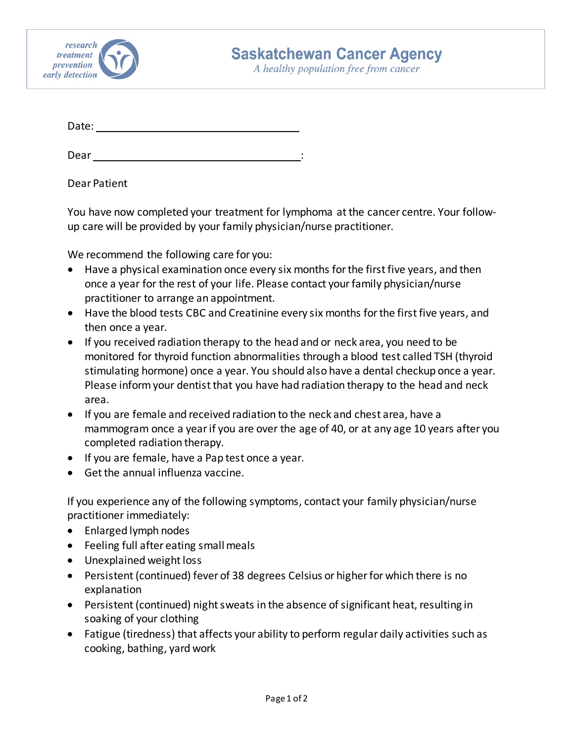

A healthy population free from cancer

Date:

Dear : and the state of the state of the state of the state of the state of the state of the state of the state of the state of the state of the state of the state of the state of the state of the state of the state of the

Dear Patient

You have now completed your treatment for lymphoma at the cancer centre. Your followup care will be provided by your family physician/nurse practitioner.

We recommend the following care for you:

- Have a physical examination once every six months for the first five years, and then once a year for the rest of your life. Please contact your family physician/nurse practitioner to arrange an appointment.
- Have the blood tests CBC and Creatinine every six months for the first five years, and then once a year.
- If you received radiation therapy to the head and or neck area, you need to be monitored for thyroid function abnormalities through a blood test called TSH (thyroid stimulating hormone) once a year. You should also have a dental checkup once a year. Please inform your dentist that you have had radiation therapy to the head and neck area.
- If you are female and received radiation to the neck and chest area, have a mammogram once a year if you are over the age of 40, or at any age 10 years after you completed radiation therapy.
- If you are female, have a Pap test once a year.
- Get the annual influenza vaccine.

If you experience any of the following symptoms, contact your family physician/nurse practitioner immediately:

- Enlarged lymph nodes
- Feeling full after eating small meals
- Unexplained weight loss
- Persistent (continued) fever of 38 degrees Celsius or higher for which there is no explanation
- Persistent (continued) night sweats in the absence of significant heat, resulting in soaking of your clothing
- Fatigue (tiredness) that affects your ability to perform regular daily activities such as cooking, bathing, yard work